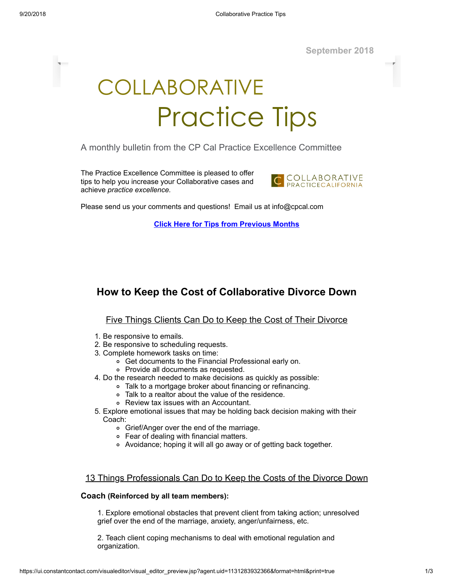**September 2018**

# COLLABORATIVE Practice Tips

A monthly bulletin from the CP Cal Practice Excellence Committee

The Practice Excellence Committee is pleased to offer tips to help you increase your Collaborative cases and achieve *practice excellence.*



Please send us your comments and questions! Email us at info@cpcal.com

**Click Here for Tips from [Previous](http://www.cpcal.com/for-professionals/practice-tips-newsletter/) Months**

## **How to Keep the Cost of Collaborative Divorce Down**

#### Five Things Clients Can Do to Keep the Cost of Their Divorce

- 1. Be responsive to emails.
- 2. Be responsive to scheduling requests.
- 3. Complete homework tasks on time:
	- Get documents to the Financial Professional early on.
	- Provide all documents as requested.
- 4. Do the research needed to make decisions as quickly as possible:
	- Talk to a mortgage broker about financing or refinancing.
		- Talk to a realtor about the value of the residence.
		- Review tax issues with an Accountant.
- 5. Explore emotional issues that may be holding back decision making with their Coach:
	- Grief/Anger over the end of the marriage.
	- Fear of dealing with financial matters.
	- Avoidance; hoping it will all go away or of getting back together.

#### 13 Things Professionals Can Do to Keep the Costs of the Divorce Down

#### **Coach (Reinforced by all team members):**

1. Explore emotional obstacles that prevent client from taking action; unresolved grief over the end of the marriage, anxiety, anger/unfairness, etc.

2. Teach client coping mechanisms to deal with emotional regulation and organization.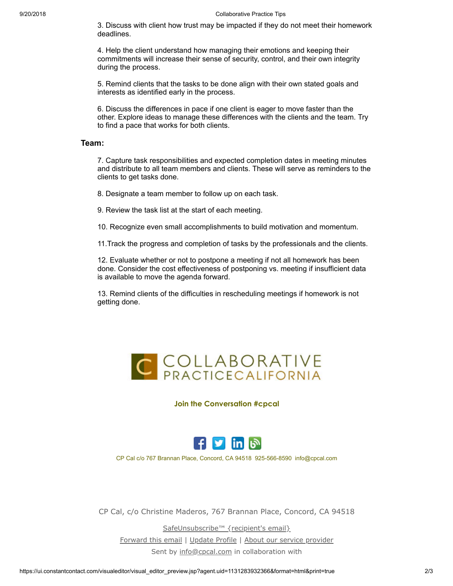3. Discuss with client how trust may be impacted if they do not meet their homework deadlines.

4. Help the client understand how managing their emotions and keeping their commitments will increase their sense of security, control, and their own integrity during the process.

5. Remind clients that the tasks to be done align with their own stated goals and interests as identified early in the process.

6. Discuss the differences in pace if one client is eager to move faster than the other. Explore ideas to manage these differences with the clients and the team. Try to find a pace that works for both clients.

### **Team:**

7. Capture task responsibilities and expected completion dates in meeting minutes and distribute to all team members and clients. These will serve as reminders to the clients to get tasks done.

8. Designate a team member to follow up on each task.

9. Review the task list at the start of each meeting.

10. Recognize even small accomplishments to build motivation and momentum.

11.Track the progress and completion of tasks by the professionals and the clients.

12. Evaluate whether or not to postpone a meeting if not all homework has been done. Consider the cost effectiveness of postponing vs. meeting if insufficient data is available to move the agenda forward.

13. Remind clients of the difficulties in rescheduling meetings if homework is not getting done.



**Join the Conversation #cpcal**



CP Cal c/o 767 Brannan Place, Concord, CA 94518 925-566-8590 info@cpcal.com

CP Cal, c/o Christine Maderos, 767 Brannan Place, Concord, CA 94518

[SafeUnsubscribe™ {recipient's email}](https://visitor.constantcontact.com/do?p=un&mse=001rxf2VXOUUER6BHQmwMlODMsTUidDuMLx&t=001zqZSR7-oqiDRyBC4G8nrLQ%3D%3D&id=001b-xBWU3VMkdsuSDl-0Mhs8Ff7K3J6Z_A&llr=bny6tgdab) [Forward this email](https://ui.constantcontact.com/sa/fwtf.jsp?llr=bny6tgdab&m=1102955078049&ea=info@cpcal.com&a=1131283932366&id=preview) | [Update Profile](https://visitor.constantcontact.com/do?mse=001rxf2VXOUUER6BHQmwMlODHEc6ix41KshVm0l6YzJjwjQ1TXwL5c8vA%3D%3D&t=001zqZSR7-oqiDRyBC4G8nrLQ%3D%3D&lang=001FCSs65SMrsI%3D&id=001b-xBWU3VMkdsuSDl-0Mhs8Ff7K3J6Z_A&llr=bny6tgdab&p=oo) | [About our service provider](http://www.constantcontact.com/legal/service-provider?cc=about-service-provider) Sent by [info@cpcal.com](mailto:info@cpcal.com) in collaboration with